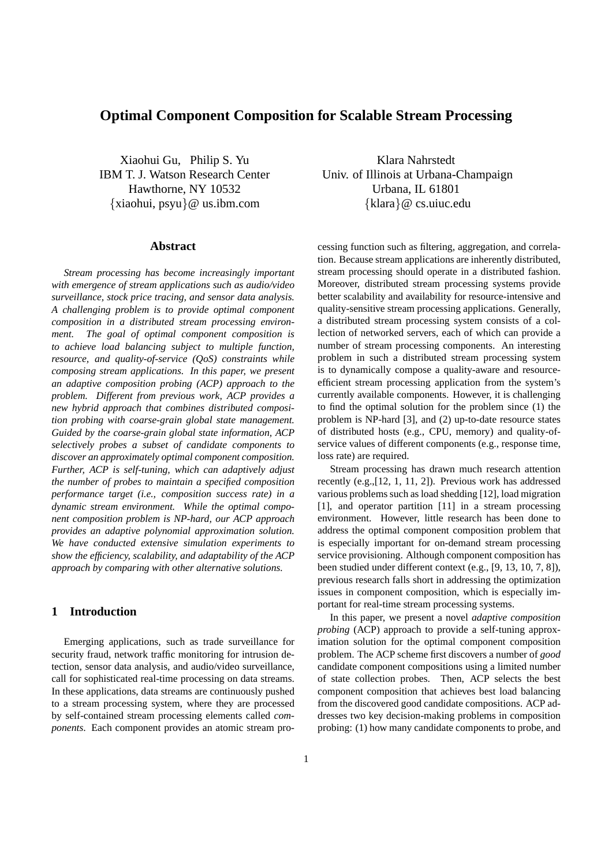# **Optimal Component Composition for Scalable Stream Processing**

Xiaohui Gu, Philip S. Yu Klara Nahrstedt Hawthorne, NY 10532 Urbana, IL 61801 {xiaohui, psyu}@ us.ibm.com {klara}@ cs.uiuc.edu

#### **Abstract**

*Stream processing has become increasingly important with emergence of stream applications such as audio/video surveillance, stock price tracing, and sensor data analysis. A challenging problem is to provide optimal component composition in a distributed stream processing environment. The goal of optimal component composition is to achieve load balancing subject to multiple function, resource, and quality-of-service (QoS) constraints while composing stream applications. In this paper, we present an adaptive composition probing (ACP) approach to the problem. Different from previous work, ACP provides a new hybrid approach that combines distributed composition probing with coarse-grain global state management. Guided by the coarse-grain global state information, ACP selectively probes a subset of candidate components to discover an approximately optimal component composition. Further, ACP is self-tuning, which can adaptively adjust the number of probes to maintain a specified composition performance target (i.e., composition success rate) in a dynamic stream environment. While the optimal component composition problem is NP-hard, our ACP approach provides an adaptive polynomial approximation solution. We have conducted extensive simulation experiments to show the efficiency, scalability, and adaptability of the ACP approach by comparing with other alternative solutions.*

# **1 Introduction**

Emerging applications, such as trade surveillance for security fraud, network traffic monitoring for intrusion detection, sensor data analysis, and audio/video surveillance, call for sophisticated real-time processing on data streams. In these applications, data streams are continuously pushed to a stream processing system, where they are processed by self-contained stream processing elements called *components*. Each component provides an atomic stream pro-

IBM T. J. Watson Research Center Univ. of Illinois at Urbana-Champaign

cessing function such as filtering, aggregation, and correlation. Because stream applications are inherently distributed, stream processing should operate in a distributed fashion. Moreover, distributed stream processing systems provide better scalability and availability for resource-intensive and quality-sensitive stream processing applications. Generally, a distributed stream processing system consists of a collection of networked servers, each of which can provide a number of stream processing components. An interesting problem in such a distributed stream processing system is to dynamically compose a quality-aware and resourceefficient stream processing application from the system's currently available components. However, it is challenging to find the optimal solution for the problem since (1) the problem is NP-hard [3], and (2) up-to-date resource states of distributed hosts (e.g., CPU, memory) and quality-ofservice values of different components (e.g., response time, loss rate) are required.

Stream processing has drawn much research attention recently (e.g.,[12, 1, 11, 2]). Previous work has addressed various problems such as load shedding [12], load migration [1], and operator partition [11] in a stream processing environment. However, little research has been done to address the optimal component composition problem that is especially important for on-demand stream processing service provisioning. Although component composition has been studied under different context (e.g., [9, 13, 10, 7, 8]), previous research falls short in addressing the optimization issues in component composition, which is especially important for real-time stream processing systems.

In this paper, we present a novel *adaptive composition probing* (ACP) approach to provide a self-tuning approximation solution for the optimal component composition problem. The ACP scheme first discovers a number of *good* candidate component compositions using a limited number of state collection probes. Then, ACP selects the best component composition that achieves best load balancing from the discovered good candidate compositions. ACP addresses two key decision-making problems in composition probing: (1) how many candidate components to probe, and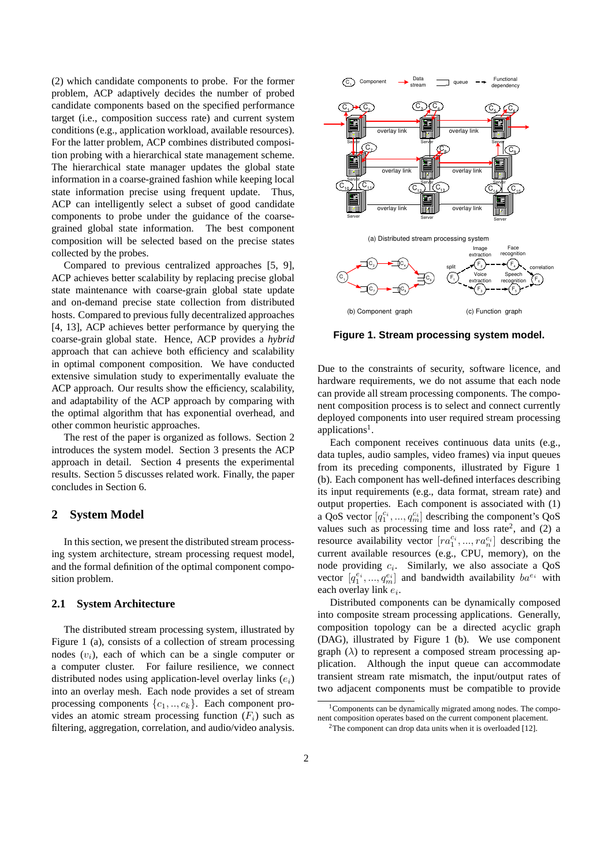(2) which candidate components to probe. For the former problem, ACP adaptively decides the number of probed candidate components based on the specified performance target (i.e., composition success rate) and current system conditions (e.g., application workload, available resources). For the latter problem, ACP combines distributed composition probing with a hierarchical state management scheme. The hierarchical state manager updates the global state information in a coarse-grained fashion while keeping local state information precise using frequent update. Thus, ACP can intelligently select a subset of good candidate components to probe under the guidance of the coarsegrained global state information. The best component composition will be selected based on the precise states collected by the probes.

Compared to previous centralized approaches [5, 9], ACP achieves better scalability by replacing precise global state maintenance with coarse-grain global state update and on-demand precise state collection from distributed hosts. Compared to previous fully decentralized approaches [4, 13], ACP achieves better performance by querying the coarse-grain global state. Hence, ACP provides a *hybrid* approach that can achieve both efficiency and scalability in optimal component composition. We have conducted extensive simulation study to experimentally evaluate the ACP approach. Our results show the efficiency, scalability, and adaptability of the ACP approach by comparing with the optimal algorithm that has exponential overhead, and other common heuristic approaches.

The rest of the paper is organized as follows. Section 2 introduces the system model. Section 3 presents the ACP approach in detail. Section 4 presents the experimental results. Section 5 discusses related work. Finally, the paper concludes in Section 6.

### **2 System Model**

In this section, we present the distributed stream processing system architecture, stream processing request model, and the formal definition of the optimal component composition problem.

### **2.1 System Architecture**

The distributed stream processing system, illustrated by Figure 1 (a), consists of a collection of stream processing nodes  $(v_i)$ , each of which can be a single computer or a computer cluster. For failure resilience, we connect distributed nodes using application-level overlay links  $(e_i)$ into an overlay mesh. Each node provides a set of stream processing components  $\{c_1, ..., c_k\}$ . Each component provides an atomic stream processing function  $(F_i)$  such as filtering, aggregation, correlation, and audio/video analysis.



**Figure 1. Stream processing system model.**

Due to the constraints of security, software licence, and hardware requirements, we do not assume that each node can provide all stream processing components. The component composition process is to select and connect currently deployed components into user required stream processing applications<sup>1</sup>.

Each component receives continuous data units (e.g., data tuples, audio samples, video frames) via input queues from its preceding components, illustrated by Figure 1 (b). Each component has well-defined interfaces describing its input requirements (e.g., data format, stream rate) and output properties. Each component is associated with (1) a QoS vector  $[q_1^{c_i}, ..., q_m^{c_i}]$  describing the component's QoS values such as processing time and loss rate<sup>2</sup>, and  $(2)$  a resource availability vector  $[ra_1^{c_i},...,ra_n^{c_i}]$  describing the current available resources (e.g., CPU, memory), on the node providing  $c_i$ . Similarly, we also associate a QoS vector  $[q_1^{e_i},..., q_m^{e_i}]$  and bandwidth availability  $ba^{e_i}$  with each overlay link  $e_i$ .

Distributed components can be dynamically composed into composite stream processing applications. Generally, composition topology can be a directed acyclic graph (DAG), illustrated by Figure 1 (b). We use component graph  $(\lambda)$  to represent a composed stream processing application. Although the input queue can accommodate transient stream rate mismatch, the input/output rates of two adjacent components must be compatible to provide

 $1$ Components can be dynamically migrated among nodes. The component composition operates based on the current component placement.

 $2$ The component can drop data units when it is overloaded [12].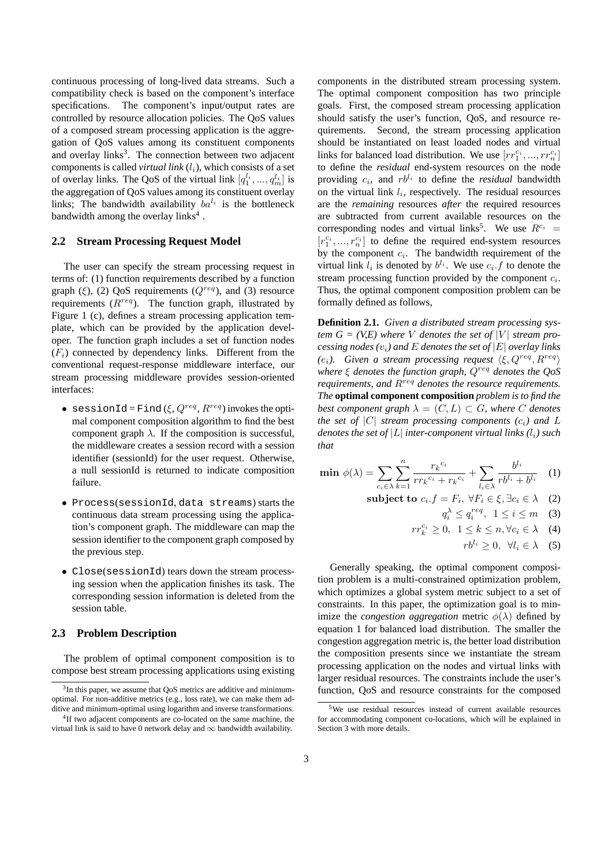continuous processing of long-lived data streams. Such a compatibility check is based on the component's interface specifications. The component's input/output rates are controlled by resource allocation policies. The QoS values of a composed stream processing application is the aggregation of QoS values among its constituent components and overlay links<sup>3</sup>. The connection between two adjacent components is called *virtual link*  $(l_i)$ , which consists of a set of overlay links. The QoS of the virtual link  $[q_1^{l_1}, ..., q_m^{l_i}]$  is the aggregation of QoS values among its constituent overlay links; The bandwidth availability  $ba^{l_i}$  is the bottleneck bandwidth among the overlay links<sup>4</sup>.

# **2.2 Stream Processing Request Model**

The user can specify the stream processing request in terms of: (1) function requirements described by a function graph (ξ), (2) QoS requirements ( $Q^{req}$ ), and (3) resource requirements  $(R^{req})$ . The function graph, illustrated by Figure 1 (c), defines a stream processing application template, which can be provided by the application developer. The function graph includes a set of function nodes  $(F_i)$  connected by dependency links. Different from the conventional request-response middleware interface, our stream processing middleware provides session-oriented interfaces:

- sessionId=Find( $\xi, Q^{req}, R^{req}$ ) invokes the optimal component composition algorithm to find the best component graph  $\lambda$ . If the composition is successful, the middleware creates a session record with a session identifier (sessionId) for the user request. Otherwise, a null sessionId is returned to indicate composition failure.
- Process(sessionId, data streams) starts the continuous data stream processing using the application's component graph. The middleware can map the session identifier to the component graph composed by the previous step.
- Close(sessionId) tears down the stream processing session when the application finishes its task. The corresponding session information is deleted from the session table.

#### **2.3 Problem Description**

The problem of optimal component composition is to compose best stream processing applications using existing components in the distributed stream processing system. The optimal component composition has two principle goals. First, the composed stream processing application should satisfy the user's function, QoS, and resource requirements. Second, the stream processing application should be instantiated on least loaded nodes and virtual links for balanced load distribution. We use  $[rr_1^{c_i}, ..., rr_n^{c_i}]$ to define the *residual* end-system resources on the node providing  $c_i$ , and  $rb^{l_i}$  to define the *residual* bandwidth on the virtual link  $l_i$ , respectively. The residual resources are the *remaining* resources *after* the required resources are subtracted from current available resources on the corresponding nodes and virtual links<sup>5</sup>. We use  $R^{c_i}$  =  $[r_1^{c_i},...,r_n^{c_i}]$  to define the required end-system resources by the component  $c_i$ . The bandwidth requirement of the virtual link  $l_i$  is denoted by  $b^{l_i}$ . We use  $c_i$ . f to denote the stream processing function provided by the component  $c_i$ . Thus, the optimal component composition problem can be formally defined as follows,

**Definition 2.1.** *Given a distributed stream processing system G = (V,E)* where *V* denotes the set of |*V*| *stream processing nodes (*vi*) and* E *denotes the set of* |E| *overlay links (e<sub>i</sub>*). Given a stream processing request  $\langle \xi, Q^{req}, R^{req} \rangle$ *where* ξ *denotes the function graph,* Qreq *denotes the QoS requirements, and R<sup>req</sup> denotes the resource requirements. The* **optimal component composition** *problem is to find the best component graph*  $\lambda = (C, L) \subset G$ *, where* C *denotes the set of*  $|C|$  *stream processing components*  $(c_i)$  *and*  $L$ *denotes the set of*  $|L|$  *inter-component virtual links*  $(l_i)$  *such that*

$$
\min \ \phi(\lambda) = \sum_{c_i \in \lambda} \sum_{k=1}^n \frac{r_k^{c_i}}{rr_k^{c_i} + r_k^{c_i}} + \sum_{l_i \in \lambda} \frac{b^{l_i}}{rb^{l_i} + b^{l_i}} \quad (1)
$$

subject to 
$$
c_i.f = F_i, \forall F_i \in \xi, \exists c_i \in \lambda
$$
 (2)

$$
q_i^{\lambda} \le q_i^{req}, \ \ 1 \le i \le m \quad (3)
$$

$$
rr_k^{c_i} \ge 0, \ \ 1 \le k \le n, \forall c_i \in \lambda \quad (4)
$$

$$
rb^{l_i} \geq 0, \ \forall l_i \in \lambda \quad (5)
$$

Generally speaking, the optimal component composition problem is a multi-constrained optimization problem, which optimizes a global system metric subject to a set of constraints. In this paper, the optimization goal is to minimize the *congestion aggregation* metric  $\phi(\lambda)$  defined by equation 1 for balanced load distribution. The smaller the congestion aggregation metric is, the better load distribution the composition presents since we instantiate the stream processing application on the nodes and virtual links with larger residual resources. The constraints include the user's function, QoS and resource constraints for the composed

<sup>&</sup>lt;sup>3</sup>In this paper, we assume that QoS metrics are additive and minimumoptimal. For non-additive metrics (e.g., loss rate), we can make them additive and minimum-optimal using logarithm and inverse transformations.

<sup>&</sup>lt;sup>4</sup>If two adjacent components are co-located on the same machine, the virtual link is said to have 0 network delay and  $\infty$  bandwidth availability.

<sup>5</sup>We use residual resources instead of current available resources for accommodating component co-locations, which will be explained in Section 3 with more details.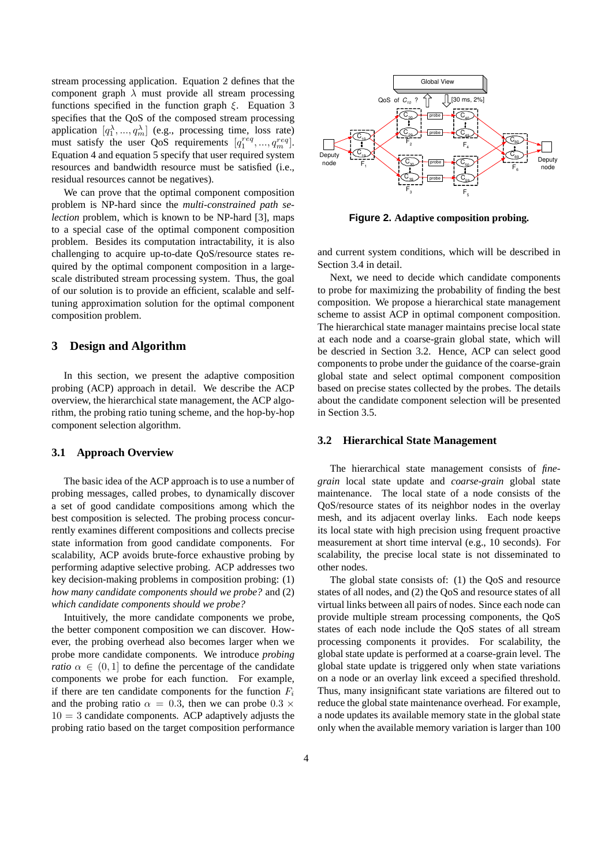stream processing application. Equation 2 defines that the component graph  $\lambda$  must provide all stream processing functions specified in the function graph  $\xi$ . Equation 3 specifies that the QoS of the composed stream processing application  $[q_1^{\lambda}, ..., q_m^{\lambda}]$  (e.g., processing time, loss rate) must satisfy the user QoS requirements  $[q_1^{req}, ..., q_m^{req}]$ . Equation 4 and equation 5 specify that user required system resources and bandwidth resource must be satisfied (i.e., residual resources cannot be negatives).

We can prove that the optimal component composition problem is NP-hard since the *multi-constrained path selection* problem, which is known to be NP-hard [3], maps to a special case of the optimal component composition problem. Besides its computation intractability, it is also challenging to acquire up-to-date QoS/resource states required by the optimal component composition in a largescale distributed stream processing system. Thus, the goal of our solution is to provide an efficient, scalable and selftuning approximation solution for the optimal component composition problem.

# **3 Design and Algorithm**

In this section, we present the adaptive composition probing (ACP) approach in detail. We describe the ACP overview, the hierarchical state management, the ACP algorithm, the probing ratio tuning scheme, and the hop-by-hop component selection algorithm.

#### **3.1 Approach Overview**

The basic idea of the ACP approach is to use a number of probing messages, called probes, to dynamically discover a set of good candidate compositions among which the best composition is selected. The probing process concurrently examines different compositions and collects precise state information from good candidate components. For scalability, ACP avoids brute-force exhaustive probing by performing adaptive selective probing. ACP addresses two key decision-making problems in composition probing: (1) *how many candidate components should we probe?* and (2) *which candidate components should we probe?*

Intuitively, the more candidate components we probe, the better component composition we can discover. However, the probing overhead also becomes larger when we probe more candidate components. We introduce *probing ratio*  $\alpha \in (0, 1]$  to define the percentage of the candidate components we probe for each function. For example, if there are ten candidate components for the function  $F_i$ and the probing ratio  $\alpha = 0.3$ , then we can probe  $0.3 \times$  $10 = 3$  candidate components. ACP adaptively adjusts the probing ratio based on the target composition performance



**Figure 2. Adaptive composition probing.**

and current system conditions, which will be described in Section 3.4 in detail.

Next, we need to decide which candidate components to probe for maximizing the probability of finding the best composition. We propose a hierarchical state management scheme to assist ACP in optimal component composition. The hierarchical state manager maintains precise local state at each node and a coarse-grain global state, which will be descried in Section 3.2. Hence, ACP can select good components to probe under the guidance of the coarse-grain global state and select optimal component composition based on precise states collected by the probes. The details about the candidate component selection will be presented in Section 3.5.

#### **3.2 Hierarchical State Management**

The hierarchical state management consists of *finegrain* local state update and *coarse-grain* global state maintenance. The local state of a node consists of the QoS/resource states of its neighbor nodes in the overlay mesh, and its adjacent overlay links. Each node keeps its local state with high precision using frequent proactive measurement at short time interval (e.g., 10 seconds). For scalability, the precise local state is not disseminated to other nodes.

The global state consists of: (1) the QoS and resource states of all nodes, and (2) the QoS and resource states of all virtual links between all pairs of nodes. Since each node can provide multiple stream processing components, the QoS states of each node include the QoS states of all stream processing components it provides. For scalability, the global state update is performed at a coarse-grain level. The global state update is triggered only when state variations on a node or an overlay link exceed a specified threshold. Thus, many insignificant state variations are filtered out to reduce the global state maintenance overhead. For example, a node updates its available memory state in the global state only when the available memory variation is larger than 100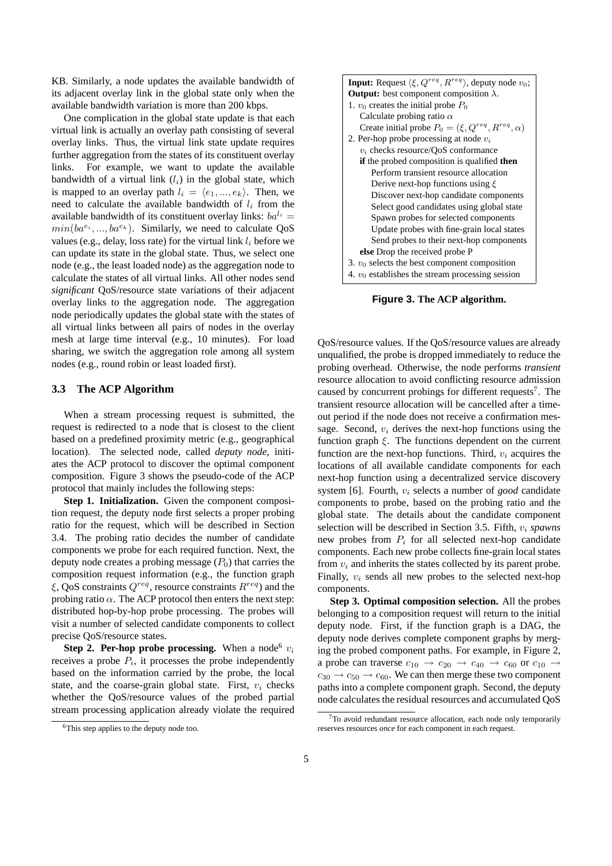KB. Similarly, a node updates the available bandwidth of its adjacent overlay link in the global state only when the available bandwidth variation is more than 200 kbps.

One complication in the global state update is that each virtual link is actually an overlay path consisting of several overlay links. Thus, the virtual link state update requires further aggregation from the states of its constituent overlay links. For example, we want to update the available bandwidth of a virtual link  $(l_i)$  in the global state, which is mapped to an overlay path  $l_i = \langle e_1, ..., e_k \rangle$ . Then, we need to calculate the available bandwidth of  $l_i$  from the available bandwidth of its constituent overlay links:  $ba^{l_i} =$  $min(ba^{e_i},...,ba^{e_k})$ . Similarly, we need to calculate QoS values (e.g., delay, loss rate) for the virtual link  $l_i$  before we can update its state in the global state. Thus, we select one node (e.g., the least loaded node) as the aggregation node to calculate the states of all virtual links. All other nodes send *significant* QoS/resource state variations of their adjacent overlay links to the aggregation node. The aggregation node periodically updates the global state with the states of all virtual links between all pairs of nodes in the overlay mesh at large time interval (e.g., 10 minutes). For load sharing, we switch the aggregation role among all system nodes (e.g., round robin or least loaded first).

### **3.3 The ACP Algorithm**

When a stream processing request is submitted, the request is redirected to a node that is closest to the client based on a predefined proximity metric (e.g., geographical location). The selected node, called *deputy node*, initiates the ACP protocol to discover the optimal component composition. Figure 3 shows the pseudo-code of the ACP protocol that mainly includes the following steps:

**Step 1. Initialization.** Given the component composition request, the deputy node first selects a proper probing ratio for the request, which will be described in Section 3.4. The probing ratio decides the number of candidate components we probe for each required function. Next, the deputy node creates a probing message  $(P_0)$  that carries the composition request information (e.g., the function graph ξ, QoS constraints  $Q^{req}$ , resource constraints  $R^{req}$ ) and the probing ratio  $\alpha$ . The ACP protocol then enters the next step: distributed hop-by-hop probe processing. The probes will visit a number of selected candidate components to collect precise QoS/resource states.

**Step 2. Per-hop probe processing.** When a node<sup>6</sup>  $v_i$ receives a probe  $P_i$ , it processes the probe independently based on the information carried by the probe, the local state, and the coarse-grain global state. First,  $v_i$  checks whether the QoS/resource values of the probed partial stream processing application already violate the required

| <b>Input:</b> Request $\langle \xi, Q^{req}, R^{req} \rangle$ , deputy node $v_0$ ; |
|-------------------------------------------------------------------------------------|
| <b>Output:</b> best component composition $\lambda$ .                               |
| 1. $v_0$ creates the initial probe $P_0$                                            |
| Calculate probing ratio $\alpha$                                                    |
| Create initial probe $P_0 = (\xi, Q^{req}, R^{req}, \alpha)$                        |
| 2. Per-hop probe processing at node $v_i$                                           |
| $v_i$ checks resource/QoS conformance                                               |
| if the probed composition is qualified then                                         |
| Perform transient resource allocation                                               |
| Derive next-hop functions using $\xi$                                               |
| Discover next-hop candidate components                                              |
| Select good candidates using global state                                           |
| Spawn probes for selected components                                                |
| Update probes with fine-grain local states                                          |
| Send probes to their next-hop components                                            |
| else Drop the received probe P                                                      |
| 3. $v_0$ selects the best component composition                                     |
| 4. $v_0$ establishes the stream processing session                                  |

**Figure 3. The ACP algorithm.**

QoS/resource values. If the QoS/resource values are already unqualified, the probe is dropped immediately to reduce the probing overhead. Otherwise, the node performs *transient* resource allocation to avoid conflicting resource admission caused by concurrent probings for different requests<sup>7</sup>. The transient resource allocation will be cancelled after a timeout period if the node does not receive a confirmation message. Second,  $v_i$  derives the next-hop functions using the function graph  $\xi$ . The functions dependent on the current function are the next-hop functions. Third,  $v_i$  acquires the locations of all available candidate components for each next-hop function using a decentralized service discovery system [6]. Fourth,  $v_i$  selects a number of *good* candidate components to probe, based on the probing ratio and the global state. The details about the candidate component selection will be described in Section 3.5. Fifth, v<sup>i</sup> *spawns* new probes from  $P_i$  for all selected next-hop candidate components. Each new probe collects fine-grain local states from  $v_i$  and inherits the states collected by its parent probe. Finally,  $v_i$  sends all new probes to the selected next-hop components.

**Step 3. Optimal composition selection.** All the probes belonging to a composition request will return to the initial deputy node. First, if the function graph is a DAG, the deputy node derives complete component graphs by merging the probed component paths. For example, in Figure 2, a probe can traverse  $c_{10} \rightarrow c_{20} \rightarrow c_{40} \rightarrow c_{60}$  or  $c_{10} \rightarrow c_{60}$  $c_{30} \rightarrow c_{50} \rightarrow c_{60}$ . We can then merge these two component paths into a complete component graph. Second, the deputy node calculates the residual resources and accumulated QoS

<sup>6</sup>This step applies to the deputy node too.

 $7$ To avoid redundant resource allocation, each node only temporarily reserves resources *once* for each component in each request.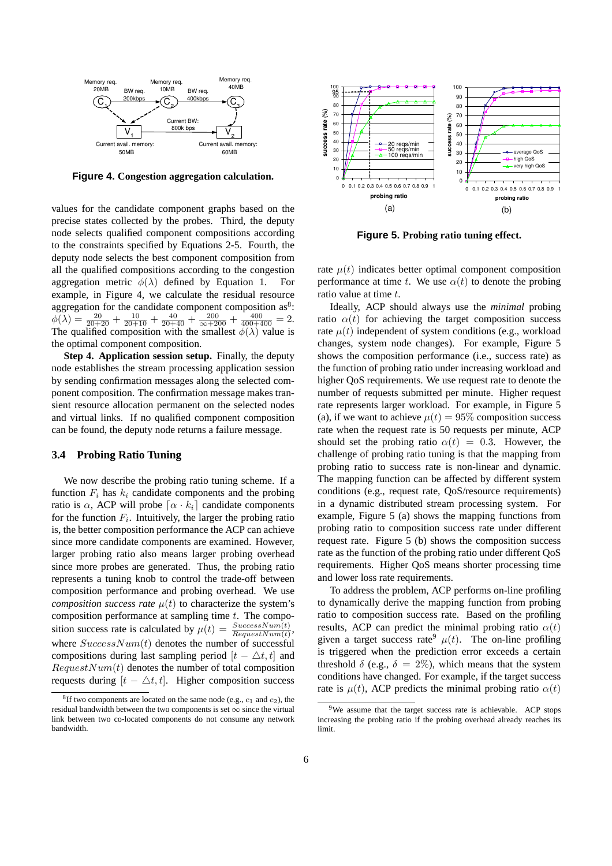

**Figure 4. Congestion aggregation calculation.**

values for the candidate component graphs based on the precise states collected by the probes. Third, the deputy node selects qualified component compositions according to the constraints specified by Equations 2-5. Fourth, the deputy node selects the best component composition from all the qualified compositions according to the congestion aggregation metric  $\phi(\lambda)$  defined by Equation 1. For example, in Figure 4, we calculate the residual resource aggregation for the candidate component composition as<sup>8</sup>:  $\phi(\lambda) = \frac{20}{20+20} + \frac{10}{20+10} + \frac{40}{20+40} + \frac{200}{\infty+200} + \frac{400}{400+400} = 2.$ The qualified composition with the smallest  $\phi(\lambda)$  value is the optimal component composition.

**Step 4. Application session setup.** Finally, the deputy node establishes the stream processing application session by sending confirmation messages along the selected component composition. The confirmation message makes transient resource allocation permanent on the selected nodes and virtual links. If no qualified component composition can be found, the deputy node returns a failure message.

# **3.4 Probing Ratio Tuning**

We now describe the probing ratio tuning scheme. If a function  $F_i$  has  $k_i$  candidate components and the probing ratio is  $\alpha$ , ACP will probe  $\lceil \alpha \cdot k_i \rceil$  candidate components for the function  $F_i$ . Intuitively, the larger the probing ratio is, the better composition performance the ACP can achieve since more candidate components are examined. However, larger probing ratio also means larger probing overhead since more probes are generated. Thus, the probing ratio represents a tuning knob to control the trade-off between composition performance and probing overhead. We use *composition success rate*  $\mu(t)$  to characterize the system's composition performance at sampling time t. The composition success rate is calculated by  $\mu(t) = \frac{SuccessNum(t)}{RequestNum(t)}$ , where  $SuccessNum(t)$  denotes the number of successful compositions during last sampling period  $[t - \triangle t, t]$  and  $RequestNum(t)$  denotes the number of total composition requests during  $[t - \Delta t, t]$ . Higher composition success



**Figure 5. Probing ratio tuning effect.**

rate  $\mu(t)$  indicates better optimal component composition performance at time t. We use  $\alpha(t)$  to denote the probing ratio value at time t.

Ideally, ACP should always use the *minimal* probing ratio  $\alpha(t)$  for achieving the target composition success rate  $\mu(t)$  independent of system conditions (e.g., workload changes, system node changes). For example, Figure 5 shows the composition performance (i.e., success rate) as the function of probing ratio under increasing workload and higher QoS requirements. We use request rate to denote the number of requests submitted per minute. Higher request rate represents larger workload. For example, in Figure 5 (a), if we want to achieve  $\mu(t) = 95\%$  composition success rate when the request rate is 50 requests per minute, ACP should set the probing ratio  $\alpha(t) = 0.3$ . However, the challenge of probing ratio tuning is that the mapping from probing ratio to success rate is non-linear and dynamic. The mapping function can be affected by different system conditions (e.g., request rate, QoS/resource requirements) in a dynamic distributed stream processing system. For example, Figure 5 (a) shows the mapping functions from probing ratio to composition success rate under different request rate. Figure 5 (b) shows the composition success rate as the function of the probing ratio under different QoS requirements. Higher QoS means shorter processing time and lower loss rate requirements.

To address the problem, ACP performs on-line profiling to dynamically derive the mapping function from probing ratio to composition success rate. Based on the profiling results, ACP can predict the minimal probing ratio  $\alpha(t)$ given a target success rate<sup>9</sup>  $\mu(t)$ . The on-line profiling is triggered when the prediction error exceeds a certain threshold  $\delta$  (e.g.,  $\delta = 2\%$ ), which means that the system conditions have changed. For example, if the target success rate is  $\mu(t)$ , ACP predicts the minimal probing ratio  $\alpha(t)$ 

 ${}^{8}$ If two components are located on the same node (e.g.,  $c_1$  and  $c_2$ ), the residual bandwidth between the two components is set  $\infty$  since the virtual link between two co-located components do not consume any network bandwidth.

<sup>&</sup>lt;sup>9</sup>We assume that the target success rate is achievable. ACP stops increasing the probing ratio if the probing overhead already reaches its limit.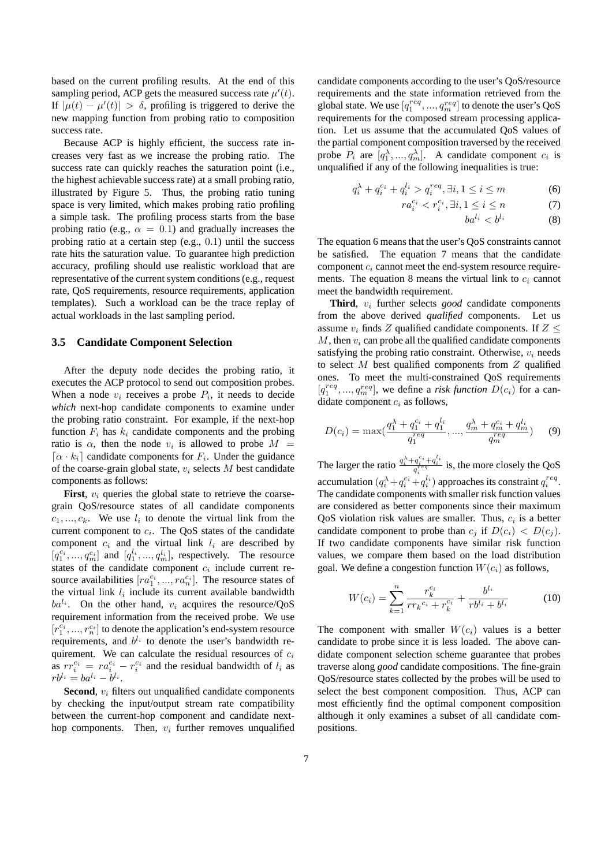based on the current profiling results. At the end of this sampling period, ACP gets the measured success rate  $\mu'(t)$ . If  $|\mu(t) - \mu'(t)| > \delta$ , profiling is triggered to derive the new mapping function from probing ratio to composition success rate.

Because ACP is highly efficient, the success rate increases very fast as we increase the probing ratio. The success rate can quickly reaches the saturation point (i.e., the highest achievable success rate) at a small probing ratio, illustrated by Figure 5. Thus, the probing ratio tuning space is very limited, which makes probing ratio profiling a simple task. The profiling process starts from the base probing ratio (e.g.,  $\alpha = 0.1$ ) and gradually increases the probing ratio at a certain step (e.g., 0.1) until the success rate hits the saturation value. To guarantee high prediction accuracy, profiling should use realistic workload that are representative of the current system conditions (e.g., request rate, QoS requirements, resource requirements, application templates). Such a workload can be the trace replay of actual workloads in the last sampling period.

#### **3.5 Candidate Component Selection**

After the deputy node decides the probing ratio, it executes the ACP protocol to send out composition probes. When a node  $v_i$  receives a probe  $P_i$ , it needs to decide *which* next-hop candidate components to examine under the probing ratio constraint. For example, if the next-hop function  $F_i$  has  $k_i$  candidate components and the probing ratio is  $\alpha$ , then the node  $v_i$  is allowed to probe  $M =$  $\lceil \alpha \cdot k_i \rceil$  candidate components for  $F_i$ . Under the guidance of the coarse-grain global state,  $v_i$  selects M best candidate components as follows:

**First**,  $v_i$  queries the global state to retrieve the coarsegrain QoS/resource states of all candidate components  $c_1, ..., c_k$ . We use  $l_i$  to denote the virtual link from the current component to  $c_i$ . The QoS states of the candidate component  $c_i$  and the virtual link  $l_i$  are described by  $[q_1^{c_i}, ..., q_m^{c_i}]$  and  $[q_1^{l_i}, ..., q_m^{l_i}]$ , respectively. The resource states of the candidate component  $c_i$  include current resource availabilities  $[ra_1^{c_i}, ..., ra_n^{c_i}]$ . The resource states of the virtual link  $l_i$  include its current available bandwidth  $ba^{l_i}$ . On the other hand,  $v_i$  acquires the resource/QoS requirement information from the received probe. We use  $[r_1^{\overline{c_i}},...,r_n^{\overline{c_i}}]$  to denote the application's end-system resource requirements, and  $b^{l_i}$  to denote the user's bandwidth requirement. We can calculate the residual resources of  $c_i$ as  $rr_i^{c_i} = ra_i^{c_i} - r_i^{c_i}$  and the residual bandwidth of  $l_i$  as  $rb^{l_i}=ba^{l_i}-b^{l_i}.$ 

**Second**,  $v_i$  filters out unqualified candidate components by checking the input/output stream rate compatibility between the current-hop component and candidate nexthop components. Then,  $v_i$  further removes unqualified candidate components according to the user's QoS/resource requirements and the state information retrieved from the global state. We use  $[q_1^{req}, ..., q_m^{req}]$  to denote the user's QoS requirements for the composed stream processing application. Let us assume that the accumulated QoS values of the partial component composition traversed by the received probe  $P_i$  are  $[q_1^{\lambda}, ..., q_m^{\lambda}]$ . A candidate component  $c_i$  is unqualified if any of the following inequalities is true:

$$
q_i^{\lambda} + q_i^{c_i} + q_i^{l_i} > q_i^{req}, \exists i, 1 \le i \le m \tag{6}
$$

$$
ra_i^{c_i} < r_i^{c_i}, \exists i, 1 \le i \le n \tag{7}
$$

$$
ba^{l_i} < b^{l_i} \tag{8}
$$

The equation 6 means that the user's QoS constraints cannot be satisfied. The equation 7 means that the candidate component  $c_i$  cannot meet the end-system resource requirements. The equation 8 means the virtual link to  $c_i$  cannot meet the bandwidth requirement.

**Third**,  $v_i$  further selects *good* candidate components from the above derived *qualified* components. Let us assume  $v_i$  finds Z qualified candidate components. If  $Z \leq$  $M$ , then  $v_i$  can probe all the qualified candidate components satisfying the probing ratio constraint. Otherwise,  $v_i$  needs to select  $M$  best qualified components from  $Z$  qualified ones. To meet the multi-constrained QoS requirements  $[q_1^{req}, ..., q_m^{req}]$ , we define a *risk function*  $D(c_i)$  for a candidate component  $c_i$  as follows,

$$
D(c_i) = \max(\frac{q_1^{\lambda} + q_1^{c_i} + q_1^{l_i}}{q_1^{req}}, ..., \frac{q_m^{\lambda} + q_m^{c_i} + q_m^{l_i}}{q_m^{req}})
$$
(9)

The larger the ratio  $\frac{q_i^{\lambda} + q_i^{c_i} + q_i^{l_i}}{q_i^{req}}$  is, the more closely the QoS accumulation  $(q_i^{\lambda} + q_i^{c_i} + q_i^{l_i})$  approaches its constraint  $q_i^{req}$ . The candidate components with smaller risk function values are considered as better components since their maximum QoS violation risk values are smaller. Thus,  $c_i$  is a better candidate component to probe than  $c_j$  if  $D(c_i) < D(c_j)$ . If two candidate components have similar risk function values, we compare them based on the load distribution goal. We define a congestion function  $W(c_i)$  as follows,

$$
W(c_i) = \sum_{k=1}^{n} \frac{r_k^{c_i}}{rr_k^{c_i} + r_k^{c_i}} + \frac{b^{l_i}}{rb^{l_i} + b^{l_i}}
$$
(10)

The component with smaller  $W(c_i)$  values is a better candidate to probe since it is less loaded. The above candidate component selection scheme guarantee that probes traverse along *good* candidate compositions. The fine-grain QoS/resource states collected by the probes will be used to select the best component composition. Thus, ACP can most efficiently find the optimal component composition although it only examines a subset of all candidate compositions.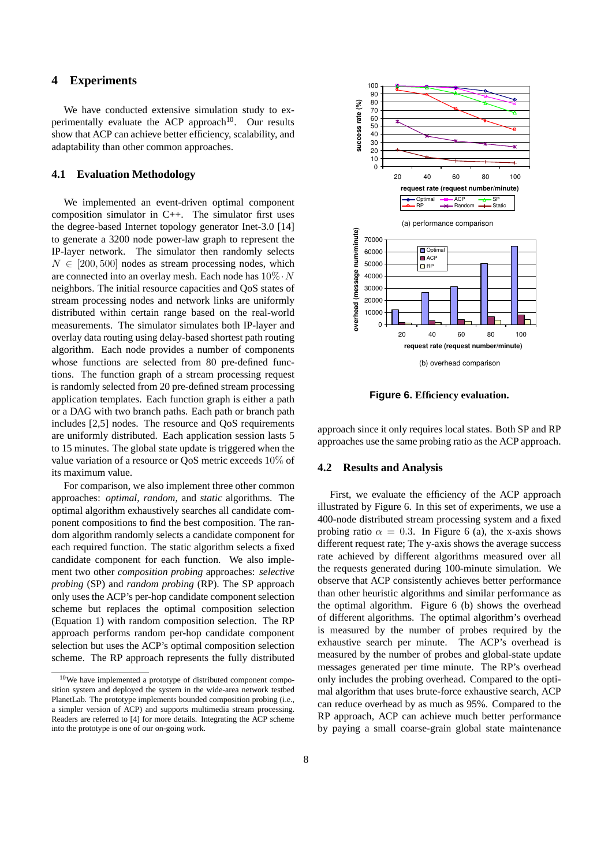# **4 Experiments**

We have conducted extensive simulation study to experimentally evaluate the ACP approach<sup>10</sup>. Our results show that ACP can achieve better efficiency, scalability, and adaptability than other common approaches.

### **4.1 Evaluation Methodology**

We implemented an event-driven optimal component composition simulator in C++. The simulator first uses the degree-based Internet topology generator Inet-3.0 [14] to generate a 3200 node power-law graph to represent the IP-layer network. The simulator then randomly selects  $N \in [200, 500]$  nodes as stream processing nodes, which are connected into an overlay mesh. Each node has  $10\% \cdot N$ neighbors. The initial resource capacities and QoS states of stream processing nodes and network links are uniformly distributed within certain range based on the real-world measurements. The simulator simulates both IP-layer and overlay data routing using delay-based shortest path routing algorithm. Each node provides a number of components whose functions are selected from 80 pre-defined functions. The function graph of a stream processing request is randomly selected from 20 pre-defined stream processing application templates. Each function graph is either a path or a DAG with two branch paths. Each path or branch path includes [2,5] nodes. The resource and QoS requirements are uniformly distributed. Each application session lasts 5 to 15 minutes. The global state update is triggered when the value variation of a resource or QoS metric exceeds 10% of its maximum value.

For comparison, we also implement three other common approaches: *optimal*, *random*, and *static* algorithms. The optimal algorithm exhaustively searches all candidate component compositions to find the best composition. The random algorithm randomly selects a candidate component for each required function. The static algorithm selects a fixed candidate component for each function. We also implement two other *composition probing* approaches: *selective probing* (SP) and *random probing* (RP). The SP approach only uses the ACP's per-hop candidate component selection scheme but replaces the optimal composition selection (Equation 1) with random composition selection. The RP approach performs random per-hop candidate component selection but uses the ACP's optimal composition selection scheme. The RP approach represents the fully distributed



**Figure 6. Efficiency evaluation.**

approach since it only requires local states. Both SP and RP approaches use the same probing ratio as the ACP approach.

## **4.2 Results and Analysis**

First, we evaluate the efficiency of the ACP approach illustrated by Figure 6. In this set of experiments, we use a 400-node distributed stream processing system and a fixed probing ratio  $\alpha = 0.3$ . In Figure 6 (a), the x-axis shows different request rate; The y-axis shows the average success rate achieved by different algorithms measured over all the requests generated during 100-minute simulation. We observe that ACP consistently achieves better performance than other heuristic algorithms and similar performance as the optimal algorithm. Figure 6 (b) shows the overhead of different algorithms. The optimal algorithm's overhead is measured by the number of probes required by the exhaustive search per minute. The ACP's overhead is measured by the number of probes and global-state update messages generated per time minute. The RP's overhead only includes the probing overhead. Compared to the optimal algorithm that uses brute-force exhaustive search, ACP can reduce overhead by as much as 95%. Compared to the RP approach, ACP can achieve much better performance by paying a small coarse-grain global state maintenance

<sup>10</sup>We have implemented a prototype of distributed component composition system and deployed the system in the wide-area network testbed PlanetLab. The prototype implements bounded composition probing (i.e., a simpler version of ACP) and supports multimedia stream processing. Readers are referred to [4] for more details. Integrating the ACP scheme into the prototype is one of our on-going work.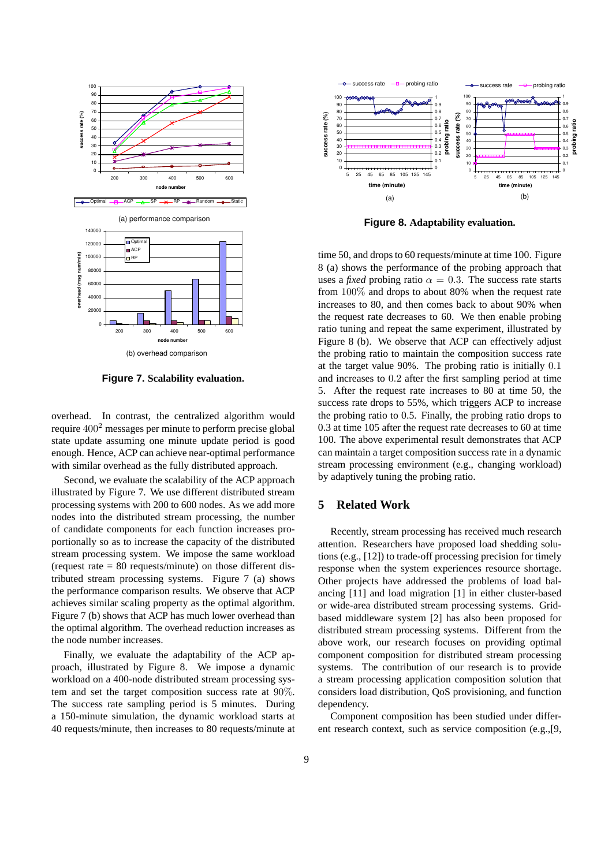

**Figure 7. Scalability evaluation.**

overhead. In contrast, the centralized algorithm would require  $400<sup>2</sup>$  messages per minute to perform precise global state update assuming one minute update period is good enough. Hence, ACP can achieve near-optimal performance with similar overhead as the fully distributed approach.

Second, we evaluate the scalability of the ACP approach illustrated by Figure 7. We use different distributed stream processing systems with 200 to 600 nodes. As we add more nodes into the distributed stream processing, the number of candidate components for each function increases proportionally so as to increase the capacity of the distributed stream processing system. We impose the same workload (request rate = 80 requests/minute) on those different distributed stream processing systems. Figure 7 (a) shows the performance comparison results. We observe that ACP achieves similar scaling property as the optimal algorithm. Figure 7 (b) shows that ACP has much lower overhead than the optimal algorithm. The overhead reduction increases as the node number increases.

Finally, we evaluate the adaptability of the ACP approach, illustrated by Figure 8. We impose a dynamic workload on a 400-node distributed stream processing system and set the target composition success rate at 90%. The success rate sampling period is 5 minutes. During a 150-minute simulation, the dynamic workload starts at 40 requests/minute, then increases to 80 requests/minute at



**Figure 8. Adaptability evaluation.**

time 50, and drops to 60 requests/minute at time 100. Figure 8 (a) shows the performance of the probing approach that uses a *fixed* probing ratio  $\alpha = 0.3$ . The success rate starts from 100% and drops to about 80% when the request rate increases to 80, and then comes back to about 90% when the request rate decreases to 60. We then enable probing ratio tuning and repeat the same experiment, illustrated by Figure 8 (b). We observe that ACP can effectively adjust the probing ratio to maintain the composition success rate at the target value 90%. The probing ratio is initially 0.1 and increases to 0.2 after the first sampling period at time 5. After the request rate increases to 80 at time 50, the success rate drops to 55%, which triggers ACP to increase the probing ratio to 0.5. Finally, the probing ratio drops to 0.3 at time 105 after the request rate decreases to 60 at time 100. The above experimental result demonstrates that ACP can maintain a target composition success rate in a dynamic stream processing environment (e.g., changing workload) by adaptively tuning the probing ratio.

### **5 Related Work**

Recently, stream processing has received much research attention. Researchers have proposed load shedding solutions (e.g., [12]) to trade-off processing precision for timely response when the system experiences resource shortage. Other projects have addressed the problems of load balancing [11] and load migration [1] in either cluster-based or wide-area distributed stream processing systems. Gridbased middleware system [2] has also been proposed for distributed stream processing systems. Different from the above work, our research focuses on providing optimal component composition for distributed stream processing systems. The contribution of our research is to provide a stream processing application composition solution that considers load distribution, QoS provisioning, and function dependency.

Component composition has been studied under different research context, such as service composition (e.g.,[9,